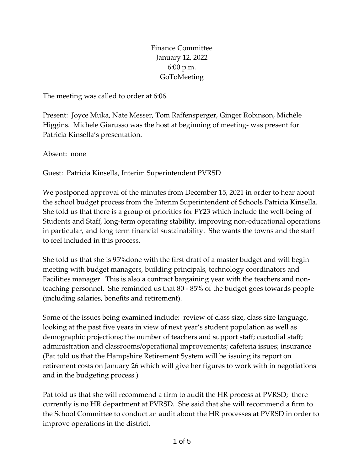Finance Committee January 12, 2022 6:00 p.m. **GoToMeeting** 

The meeting was called to order at 6:06.

Present: Joyce Muka, Nate Messer, Tom Raffensperger, Ginger Robinson, Michèle Higgins. Michele Giarusso was the host at beginning of meeting- was present for Patricia Kinsella's presentation.

Absent: none

Guest: Patricia Kinsella, Interim Superintendent PVRSD

We postponed approval of the minutes from December 15, 2021 in order to hear about the school budget process from the Interim Superintendent of Schools Patricia Kinsella. She told us that there is a group of priorities for FY23 which include the well-being of Students and Staff, long-term operating stability, improving non-educational operations in particular, and long term financial sustainability. She wants the towns and the staff to feel included in this process.

She told us that she is 95%done with the first draft of a master budget and will begin meeting with budget managers, building principals, technology coordinators and Facilities manager. This is also a contract bargaining year with the teachers and nonteaching personnel. She reminded us that 80 - 85% of the budget goes towards people (including salaries, benefits and retirement).

Some of the issues being examined include: review of class size, class size language, looking at the past five years in view of next year's student population as well as demographic projections; the number of teachers and support staff; custodial staff; administration and classrooms/operational improvements; cafeteria issues; insurance (Pat told us that the Hampshire Retirement System will be issuing its report on retirement costs on January 26 which will give her figures to work with in negotiations and in the budgeting process.)

Pat told us that she will recommend a firm to audit the HR process at PVRSD; there currently is no HR department at PVRSD. She said that she will recommend a firm to the School Committee to conduct an audit about the HR processes at PVRSD in order to improve operations in the district.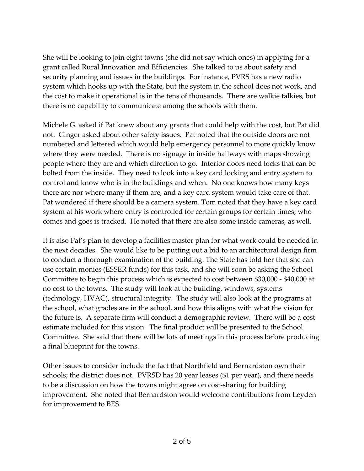She will be looking to join eight towns (she did not say which ones) in applying for a grant called Rural Innovation and Efficiencies. She talked to us about safety and security planning and issues in the buildings. For instance, PVRS has a new radio system which hooks up with the State, but the system in the school does not work, and the cost to make it operational is in the tens of thousands. There are walkie talkies, but there is no capability to communicate among the schools with them.

Michele G. asked if Pat knew about any grants that could help with the cost, but Pat did not. Ginger asked about other safety issues. Pat noted that the outside doors are not numbered and lettered which would help emergency personnel to more quickly know where they were needed. There is no signage in inside hallways with maps showing people where they are and which direction to go. Interior doors need locks that can be bolted from the inside. They need to look into a key card locking and entry system to control and know who is in the buildings and when. No one knows how many keys there are nor where many if them are, and a key card system would take care of that. Pat wondered if there should be a camera system. Tom noted that they have a key card system at his work where entry is controlled for certain groups for certain times; who comes and goes is tracked. He noted that there are also some inside cameras, as well.

It is also Pat's plan to develop a facilities master plan for what work could be needed in the next decades. She would like to be putting out a bid to an architectural design firm to conduct a thorough examination of the building. The State has told her that she can use certain monies (ESSER funds) for this task, and she will soon be asking the School Committee to begin this process which is expected to cost between \$30,000 - \$40,000 at no cost to the towns. The study will look at the building, windows, systems (technology, HVAC), structural integrity. The study will also look at the programs at the school, what grades are in the school, and how this aligns with what the vision for the future is. A separate firm will conduct a demographic review. There will be a cost estimate included for this vision. The final product will be presented to the School Committee. She said that there will be lots of meetings in this process before producing a final blueprint for the towns.

Other issues to consider include the fact that Northfield and Bernardston own their schools; the district does not. PVRSD has 20 year leases (\$1 per year), and there needs to be a discussion on how the towns might agree on cost-sharing for building improvement. She noted that Bernardston would welcome contributions from Leyden for improvement to BES.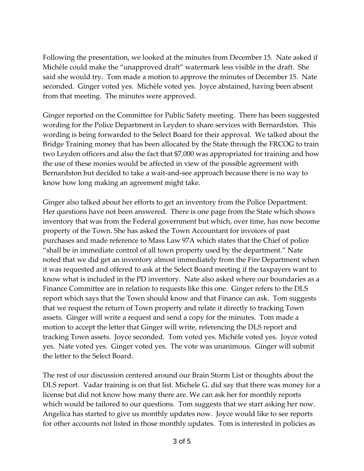Following the presentation, we looked at the minutes from December 15. Nate asked if Michèle could make the "unapproved draft" watermark less visible in the draft. She said she would try. Tom made a motion to approve the minutes of December 15. Nate seconded. Ginger voted yes. Michèle voted yes. Joyce abstained, having been absent from that meeting. The minutes were approved.

Ginger reported on the Committee for Public Safety meeting. There has been suggested wording for the Police Department in Leyden to share services with Bernardston. This wording is being forwarded to the Select Board for their approval. We talked about the Bridge Training money that has been allocated by the State through the FRCOG to train two Leyden officers and also the fact that \$7,000 was appropriated for training and how the use of these monies would be affected in view of the possible agreement with Bernardston but decided to take a wait-and-see approach because there is no way to know how long making an agreement might take.

Ginger also talked about her efforts to get an inventory from the Police Department. Her questions have not been answered. There is one page from the State which shows inventory that was from the Federal government but which, over time, has now become property of the Town. She has asked the Town Accountant for invoices of past purchases and made reference to Mass Law 97A which states that the Chief of police "shall be in immediate control of all town property used by the department." Nate noted that we did get an inventory almost immediately from the Fire Department when it was requested and offered to ask at the Select Board meeting if the taxpayers want to know what is included in the PD inventory. Nate also asked where our boundaries as a Finance Committee are in relation to requests like this one. Ginger refers to the DLS report which says that the Town should know and that Finance can ask. Tom suggests that we request the return of Town property and relate it directly to tracking Town assets. Ginger will write a request and send a copy for the minutes. Tom made a motion to accept the letter that Ginger will write, referencing the DLS report and tracking Town assets. Joyce seconded. Tom voted yes. Michèle voted yes. Joyce voted yes. Nate voted yes. Ginger voted yes. The vote was unanimous. Ginger will submit the letter to the Select Board.

The rest of our discussion centered around our Brain Storm List or thoughts about the DLS report. Vadar training is on that list. Michele G. did say that there was money for a license but did not know how many there are. We can ask her for monthly reports which would be tailored to our questions. Tom suggests that we start asking her now. Angelica has started to give us monthly updates now. Joyce would like to see reports for other accounts not listed in those monthly updates. Tom is interested in policies as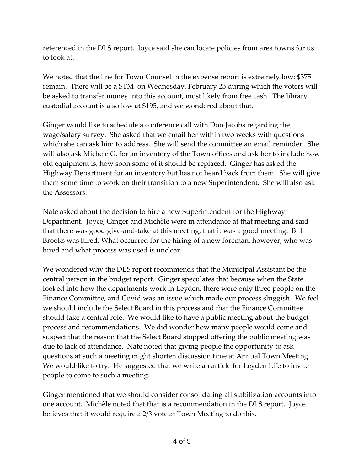referenced in the DLS report. Joyce said she can locate policies from area towns for us to look at.

We noted that the line for Town Counsel in the expense report is extremely low: \$375 remain. There will be a STM on Wednesday, February 23 during which the voters will be asked to transfer money into this account, most likely from free cash. The library custodial account is also low at \$195, and we wondered about that.

Ginger would like to schedule a conference call with Don Jacobs regarding the wage/salary survey. She asked that we email her within two weeks with questions which she can ask him to address. She will send the committee an email reminder. She will also ask Michele G. for an inventory of the Town offices and ask her to include how old equipment is, how soon some of it should be replaced. Ginger has asked the Highway Department for an inventory but has not heard back from them. She will give them some time to work on their transition to a new Superintendent. She will also ask the Assessors.

Nate asked about the decision to hire a new Superintendent for the Highway Department. Joyce, Ginger and Michèle were in attendance at that meeting and said that there was good give-and-take at this meeting, that it was a good meeting. Bill Brooks was hired. What occurred for the hiring of a new foreman, however, who was hired and what process was used is unclear.

We wondered why the DLS report recommends that the Municipal Assistant be the central person in the budget report. Ginger speculates that because when the State looked into how the departments work in Leyden, there were only three people on the Finance Committee, and Covid was an issue which made our process sluggish. We feel we should include the Select Board in this process and that the Finance Committee should take a central role. We would like to have a public meeting about the budget process and recommendations. We did wonder how many people would come and suspect that the reason that the Select Board stopped offering the public meeting was due to lack of attendance. Nate noted that giving people the opportunity to ask questions at such a meeting might shorten discussion time at Annual Town Meeting. We would like to try. He suggested that we write an article for Leyden Life to invite people to come to such a meeting.

Ginger mentioned that we should consider consolidating all stabilization accounts into one account. Michèle noted that that is a recommendation in the DLS report. Joyce believes that it would require a 2/3 vote at Town Meeting to do this.